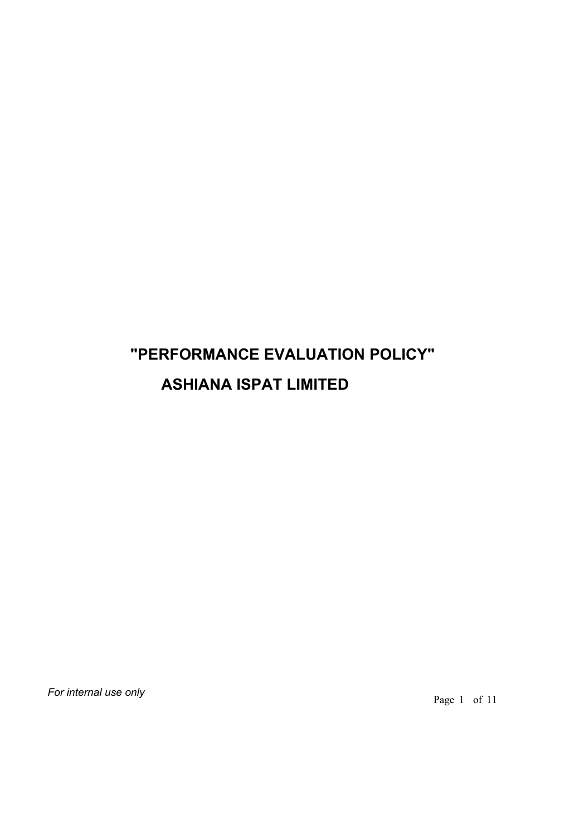# **"PERFORMANCE EVALUATION POLICY" ASHIANA ISPAT LIMITED**

*For internal use only*

Page 1 of 11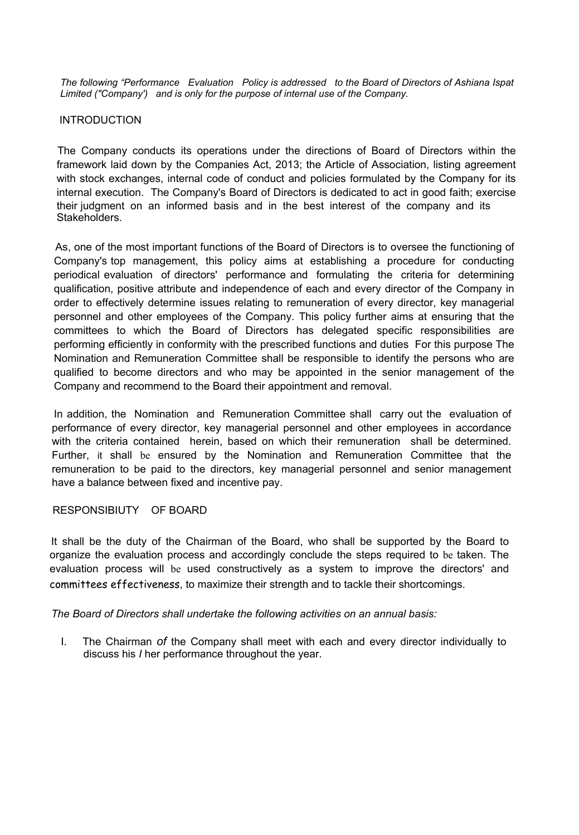*The following "Performance Evaluation Policy is addressed to the Board of Directors of Ashiana Ispat Limited ("Company') and is only for the purpose of internal use of the Company.*

## INTRODUCTION

The Company conducts its operations under the directions of Board of Directors within the framework laid down by the Companies Act, 2013; the Article of Association, listing agreement with stock exchanges, internal code of conduct and policies formulated by the Company for its internal execution. The Company's Board of Directors is dedicated to act in good faith; exercise their judgment on an informed basis and in the best interest of the company and its Stakeholders.

As, one of the most important functions of the Board of Directors is to oversee the functioning of Company's top management, this policy aims at establishing a procedure for conducting periodical evaluation of directors' performance and formulating the criteria for determining qualification, positive attribute and independence of each and every director of the Company in order to effectively determine issues relating to remuneration of every director, key managerial personnel and other employees of the Company. This policy further aims at ensuring that the committees to which the Board of Directors has delegated specific responsibilities are performing efficiently in conformity with the prescribed functions and duties For this purpose The Nomination and Remuneration Committee shall be responsible to identify the persons who are qualified to become directors and who may be appointed in the senior management of the Company and recommend to the Board their appointment and removal.

In addition, the Nomination and Remuneration Committee shall carry out the evaluation of performance of every director, key managerial personnel and other employees in accordance with the criteria contained herein, based on which their remuneration shall be determined. Further, it shall be ensured by the Nomination and Remuneration Committee that the remuneration to be paid to the directors, key managerial personnel and senior management have a balance between fixed and incentive pay.

#### RESPONSIBIUTY OF BOARD

It shall be the duty of the Chairman of the Board, who shall be supported by the Board to organize the evaluation process and accordingly conclude the steps required to be taken. The evaluation process will be used constructively as a system to improve the directors' and committees effectiveness, to maximize their strength and to tackle their shortcomings.

*The Board of Directors shall undertake the following activities on an annual basis:*

I. The Chairman *of* the Company shall meet with each and every director individually to discuss his *I* her performance throughout the year.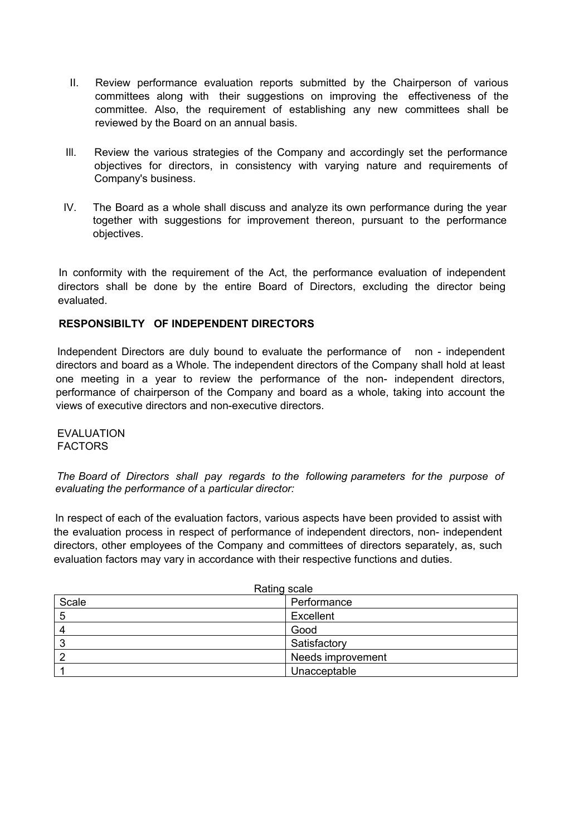- II. Review performance evaluation reports submitted by the Chairperson of various committees along with their suggestions on improving the effectiveness of the committee. Also, the requirement of establishing any new committees shall be reviewed by the Board on an annual basis.
- Ill. Review the various strategies of the Company and accordingly set the performance objectives for directors, in consistency with varying nature and requirements of Company's business.
- IV. The Board as a whole shall discuss and analyze its own performance during the year together with suggestions for improvement thereon, pursuant to the performance objectives.

In conformity with the requirement of the Act, the performance evaluation of independent directors shall be done by the entire Board of Directors, excluding the director being evaluated.

## **RESPONSIBILTY OF INDEPENDENT DIRECTORS**

Independent Directors are duly bound to evaluate the performance of non - independent directors and board as a Whole. The independent directors of the Company shall hold at least one meeting in a year to review the performance of the non- independent directors, performance of chairperson of the Company and board as a whole, taking into account the views of executive directors and non-executive directors.

EVALUATION FACTORS

*The Board of Directors shall pay regards to the following parameters for the purpose of evaluating the performance of* a *particular director:*

In respect of each of the evaluation factors, various aspects have been provided to assist with the evaluation process in respect of performance of independent directors, non- independent directors, other employees of the Company and committees of directors separately, as, such evaluation factors may vary in accordance with their respective functions and duties.

| Rating scale |                   |  |
|--------------|-------------------|--|
| Scale        | Performance       |  |
| 5            | Excellent         |  |
| 4            | Good              |  |
| 3            | Satisfactory      |  |
|              | Needs improvement |  |
|              | Unacceptable      |  |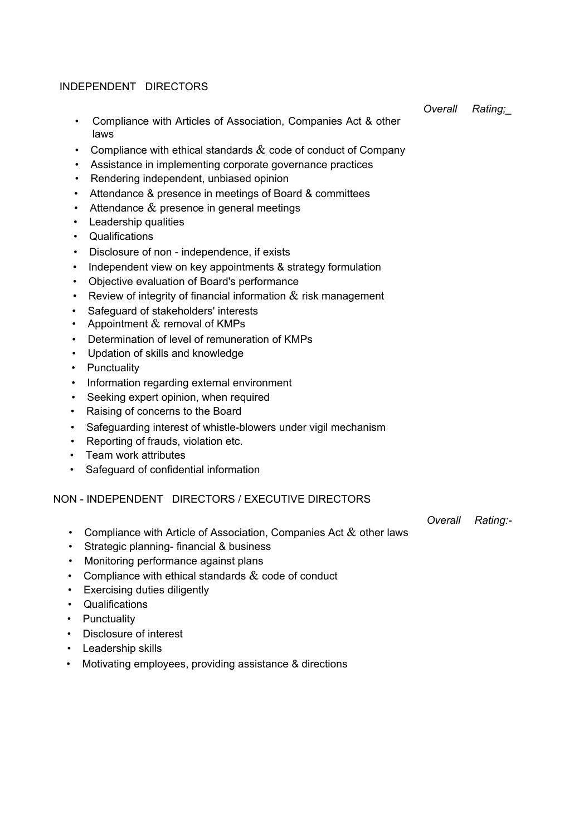### INDEPENDENT DIRECTORS

- Compliance with Articles of Association, Companies Act & other laws
- Compliance with ethical standards  $\&$  code of conduct of Company
- Assistance in implementing corporate governance practices
- Rendering independent, unbiased opinion
- Attendance & presence in meetings of Board & committees
- Attendance  $\&$  presence in general meetings
- Leadership qualities
- Qualifications
- Disclosure of non independence, if exists
- Independent view on key appointments & strategy formulation
- Objective evaluation of Board's performance
- Review of integrity of financial information  $\&$  risk management
- Safeguard of stakeholders' interests
- Appointment  $&$  removal of KMPs
- Determination of level of remuneration of KMPs
- Updation of skills and knowledge
- Punctuality
- Information regarding external environment
- Seeking expert opinion, when required
- Raising of concerns to the Board
- Safeguarding interest of whistle-blowers under vigil mechanism
- Reporting of frauds, violation etc.
- Team work attributes
- Safeguard of confidential information

#### NON - INDEPENDENT DIRECTORS / EXECUTIVE DIRECTORS

*Overall Rating:-*

- Compliance with Article of Association, Companies Act  $\&$  other laws
- Strategic planning- financial & business
- Monitoring performance against plans
- Compliance with ethical standards  $&$  code of conduct
- Exercising duties diligently
- Qualifications
- Punctuality
- Disclosure of interest
- Leadership skills
- Motivating employees, providing assistance & directions

*Overall Rating;\_*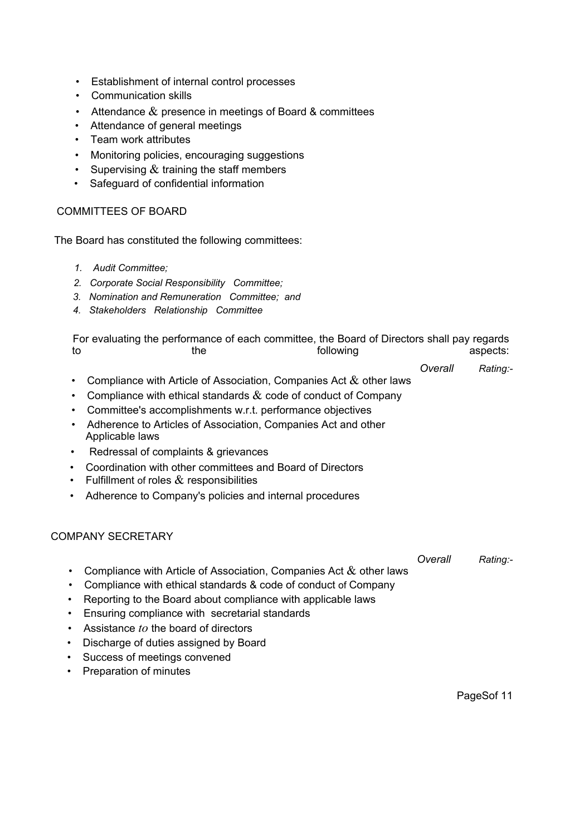- Establishment of internal control processes
- Communication skills
- Attendance  $\&$  presence in meetings of Board & committees
- Attendance of general meetings
- Team work attributes
- Monitoring policies, encouraging suggestions
- Supervising  $&$  training the staff members
- Safeguard of confidential information

## COMMITTEES OF BOARD

The Board has constituted the following committees:

- *1. Audit Committee;*
- *2. Corporate Social Responsibility Committee;*
- *3. Nomination and Remuneration Committee; and*
- *4. Stakeholders Relationship Committee*

| For evaluating the performance of each committee, the Board of Directors shall pay regards<br>following<br>to<br>the |                                                                                  |         | aspects: |  |
|----------------------------------------------------------------------------------------------------------------------|----------------------------------------------------------------------------------|---------|----------|--|
|                                                                                                                      |                                                                                  | Overall | Rating:- |  |
|                                                                                                                      | Compliance with Article of Association, Companies Act $\&$ other laws            |         |          |  |
|                                                                                                                      | Compliance with ethical standards $\&$ code of conduct of Company                |         |          |  |
|                                                                                                                      | Committee's accomplishments w.r.t. performance objectives                        |         |          |  |
|                                                                                                                      | Adherence to Articles of Association, Companies Act and other<br>Applicable laws |         |          |  |
| $\bullet$                                                                                                            | Redressal of complaints & grievances                                             |         |          |  |
| $\bullet$                                                                                                            | Coordination with other committees and Board of Directors                        |         |          |  |
|                                                                                                                      | • Fulfillment of roles $\&$ responsibilities                                     |         |          |  |

• Adherence to Company's policies and internal procedures

# COMPANY SECRETARY

*Overall Rating:-*

- Compliance with Article of Association, Companies Act  $\&$  other laws
- Compliance with ethical standards & code of conduct of Company
- Reporting to the Board about compliance with applicable laws
- Ensuring compliance with secretarial standards
- Assistance *to* the board of directors
- Discharge of duties assigned by Board
- Success of meetings convened
- Preparation of minutes

PageSof 11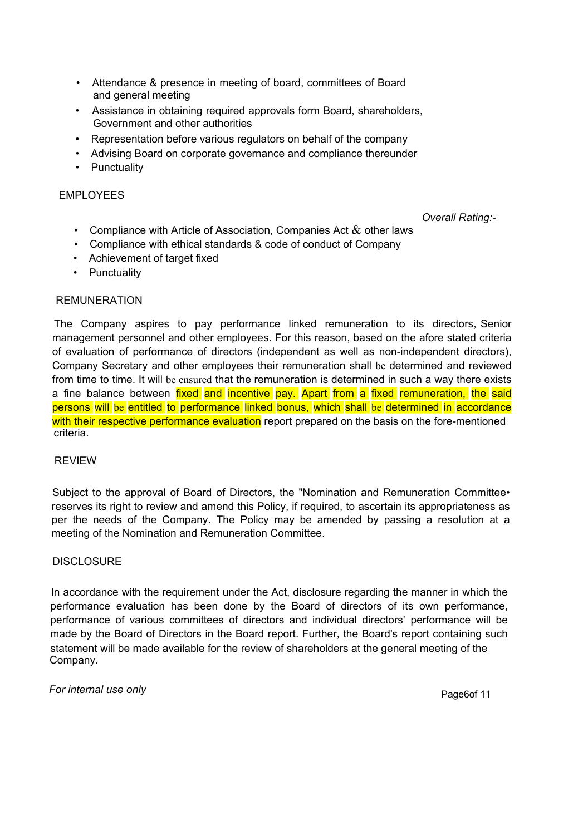- Attendance & presence in meeting of board, committees of Board and general meeting
- Assistance in obtaining required approvals form Board, shareholders, Government and other authorities
- Representation before various regulators on behalf of the company
- Advising Board on corporate governance and compliance thereunder
- Punctuality

## EMPLOYEES

*Overall Rating:-*

- Compliance with Article of Association, Companies Act  $\&$  other laws
- Compliance with ethical standards & code of conduct of Company
- Achievement of target fixed
- Punctuality

## REMUNERATION

The Company aspires to pay performance linked remuneration to its directors, Senior management personnel and other employees. For this reason, based on the afore stated criteria of evaluation of performance of directors (independent as well as non-independent directors), Company Secretary and other employees their remuneration shall be determined and reviewed from time to time. It will be ensured that the remuneration is determined in such a way there exists a fine balance between fixed and incentive pay. Apart from a fixed remuneration, the said persons will be entitled to performance linked bonus, which shall be determined in accordance with their respective performance evaluation report prepared on the basis on the fore-mentioned criteria.

#### REVIEW

Subject to the approval of Board of Directors, the "Nomination and Remuneration Committee• reserves its right to review and amend this Policy, if required, to ascertain its appropriateness as per the needs of the Company. The Policy may be amended by passing a resolution at a meeting of the Nomination and Remuneration Committee.

### **DISCLOSURE**

In accordance with the requirement under the Act, disclosure regarding the manner in which the performance evaluation has been done by the Board of directors of its own performance, performance of various committees of directors and individual directors' performance will be made by the Board of Directors in the Board report. Further, the Board's report containing such statement will be made available for the review of shareholders at the general meeting of the Company.

*For internal use only For internal use only Page6of 11*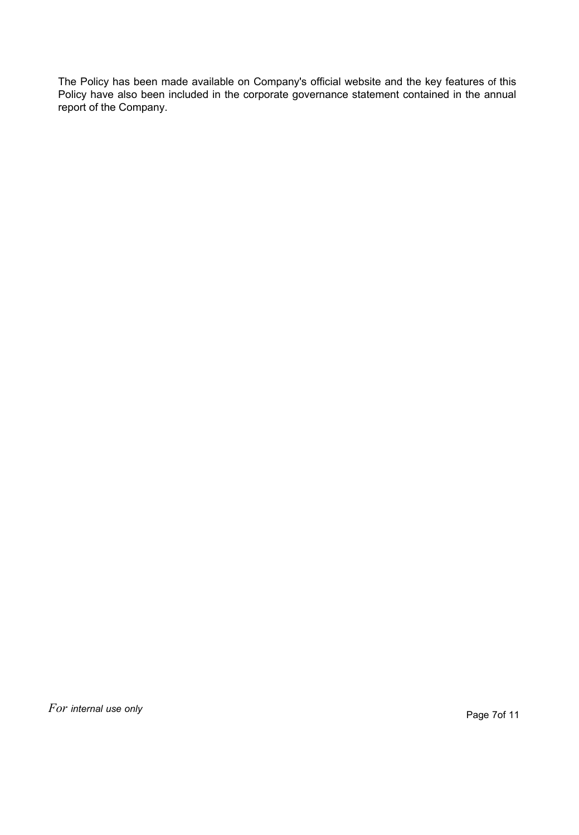The Policy has been made available on Company's official website and the key features of this Policy have also been included in the corporate governance statement contained in the annual report of the Company.

*For internal use only Formal and the set of the set of the page 7of 11**Page 7of 11*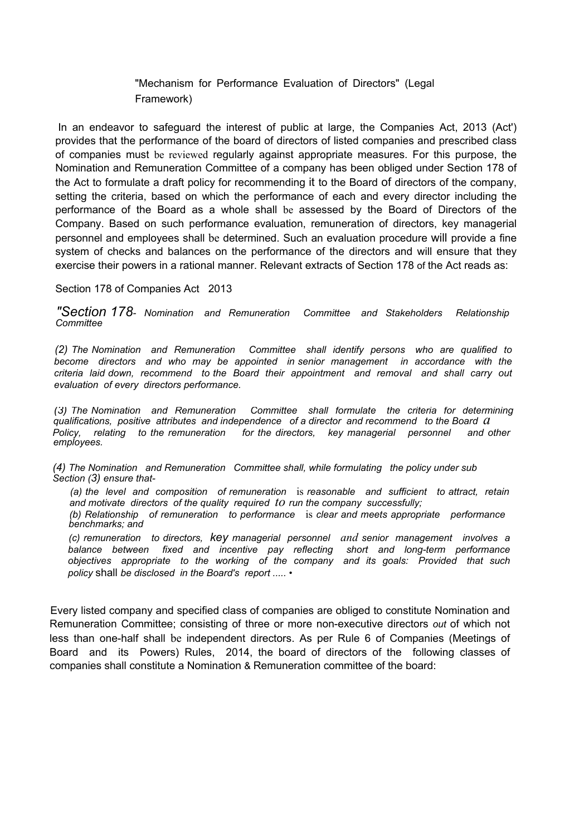"Mechanism for Performance Evaluation of Directors" (Legal Framework)

In an endeavor to safeguard the interest of public at large, the Companies Act, 2013 (Act') provides that the performance of the board of directors of listed companies and prescribed class of companies must be reviewed regularly against appropriate measures. For this purpose, the Nomination and Remuneration Committee of a company has been obliged under Section 178 of the Act to formulate a draft policy for recommending it to the Board of directors of the company, setting the criteria, based on which the performance of each and every director including the performance of the Board as a whole shall be assessed by the Board of Directors of the Company. Based on such performance evaluation, remuneration of directors, key managerial personnel and employees shall be determined. Such an evaluation procedure will provide a fine system of checks and balances on the performance of the directors and will ensure that they exercise their powers in a rational manner. Relevant extracts of Section 178 of the Act reads as:

Section 178 of Companies Act 2013

*"Section 178- Nomination and Remuneration Committee and Stakeholders Relationship Committee*

*(2) The Nomination and Remuneration Committee shall identify persons who are qualified to become directors and who may be appointed in senior management in accordance with the criteria laid down, recommend to the Board their appointment and removal and shall carry out evaluation of every directors performance.*

*(3) The Nomination and Remuneration Committee shall formulate the criteria for determining qualifications, positive attributes and independence of <sup>a</sup> director and recommend to the Board a Policy, relating to the remuneration for the directors, key managerial personnel and other employees.*

*(4) The Nomination and Remuneration Committee shall, while formulating the policy under sub Section (3) ensure that-*

*(a) the level and composition of remuneration* is *reasonable and sufficient to attract, retain and motivate directors of the quality required to run the company successfully; (b) Relationship of remuneration to performance* is *clear and meets appropriate performance*

*benchmarks; and*

*(c) remuneration to directors, key managerial personnel and senior management involves a balance between fixed and incentive pay reflecting short and long-term performance objectives appropriate to the working of the company and its goals: Provided that such policy* shall *be disclosed in the Board's report ..... •*

Every listed company and specified class of companies are obliged to constitute Nomination and Remuneration Committee; consisting of three or more non-executive directors *out* of which not less than one-half shall be independent directors. As per Rule 6 of Companies (Meetings of Board and its Powers) Rules, 2014, the board of directors of the following classes of companies shall constitute a Nomination & Remuneration committee of the board: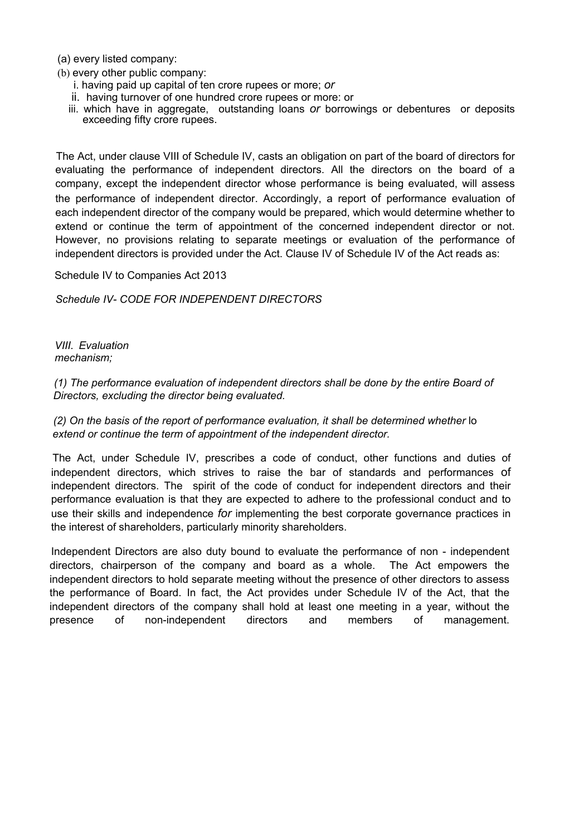(a) every listed company:

- (b) every other public company:
	- i. having paid up capital of ten crore rupees or more; *or*
	- ii. having turnover of one hundred crore rupees or more: or
	- iii. which have in aggregate, outstanding loans *or* borrowings or debentures or deposits exceeding fifty crore rupees.

The Act, under clause VIII of Schedule IV, casts an obligation on part of the board of directors for evaluating the performance of independent directors. All the directors on the board of a company, except the independent director whose performance is being evaluated, will assess the performance of independent director. Accordingly, a report of performance evaluation of each independent director of the company would be prepared, which would determine whether to extend or continue the term of appointment of the concerned independent director or not. However, no provisions relating to separate meetings or evaluation of the performance of independent directors is provided under the Act. Clause IV of Schedule IV of the Act reads as:

Schedule IV to Companies Act 2013

*Schedule IV- CODE FOR INDEPENDENT DIRECTORS*

*VIII. Evaluation mechanism;*

*(1) The performance evaluation of independent directors shall be done by the entire Board of Directors, excluding the director being evaluated.*

*(2) On the basis of the report of performance evaluation, it shall be determined whether* lo *extend or continue the term of appointment of the independent director.*

The Act, under Schedule IV, prescribes a code of conduct, other functions and duties of independent directors, which strives to raise the bar of standards and performances of independent directors. The spirit of the code of conduct for independent directors and their performance evaluation is that they are expected to adhere to the professional conduct and to use their skills and independence *for* implementing the best corporate governance practices in the interest of shareholders, particularly minority shareholders.

Independent Directors are also duty bound to evaluate the performance of non - independent directors, chairperson of the company and board as a whole. The Act empowers the independent directors to hold separate meeting without the presence of other directors to assess the performance of Board. In fact, the Act provides under Schedule IV of the Act, that the independent directors of the company shall hold at least one meeting in a year, without the presence of non-independent directors and members of management.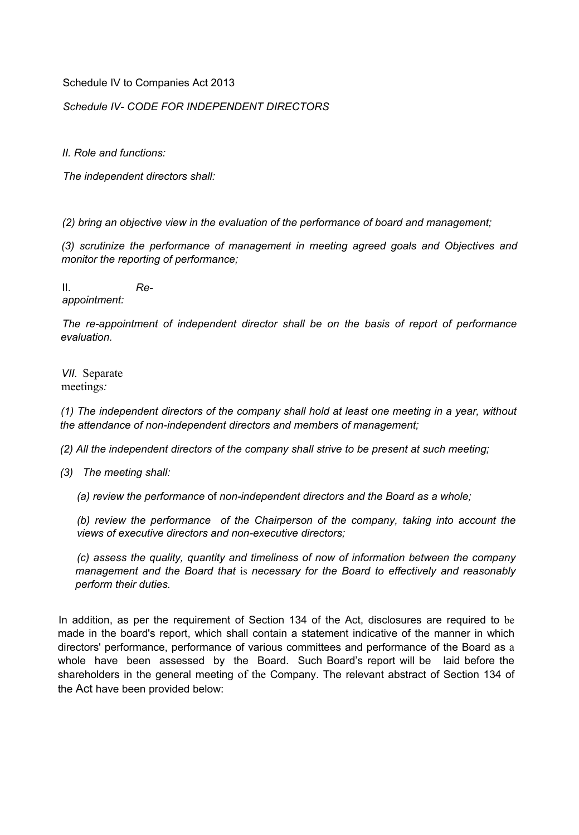Schedule IV to Companies Act 2013

*Schedule IV- CODE FOR INDEPENDENT DIRECTORS*

*II. Role and functions:*

*The independent directors shall:*

*(2) bring an objective view in the evaluation of the performance of board and management;*

*(3) scrutinize the performance of management in meeting agreed goals and Objectives and monitor the reporting of performance;*

II. *Reappointment:*

*The re-appointment of independent director shall be on the basis of report of performance evaluation.*

*VII.* Separate meetings*:*

*(1) The independent directors of the company shall hold at least one meeting in a year, without the attendance of non-independent directors and members of management;*

*(2) All the independent directors of the company shall strive to be present at such meeting;*

*(3) The meeting shall:*

*(a) review the performance* of *non-independent directors and the Board as a whole;*

*(b) review the performance of the Chairperson of the company, taking into account the views of executive directors and non-executive directors;*

*(c) assess the quality, quantity and timeliness of now of information between the company management and the Board that* is *necessary for the Board to effectively and reasonably perform their duties.*

In addition, as per the requirement of Section 134 of the Act, disclosures are required to be made in the board's report, which shall contain a statement indicative of the manner in which directors' performance, performance of various committees and performance of the Board as a whole have been assessed by the Board. Such Board's report will be laid before the shareholders in the general meeting of the Company. The relevant abstract of Section 134 of the Act have been provided below: